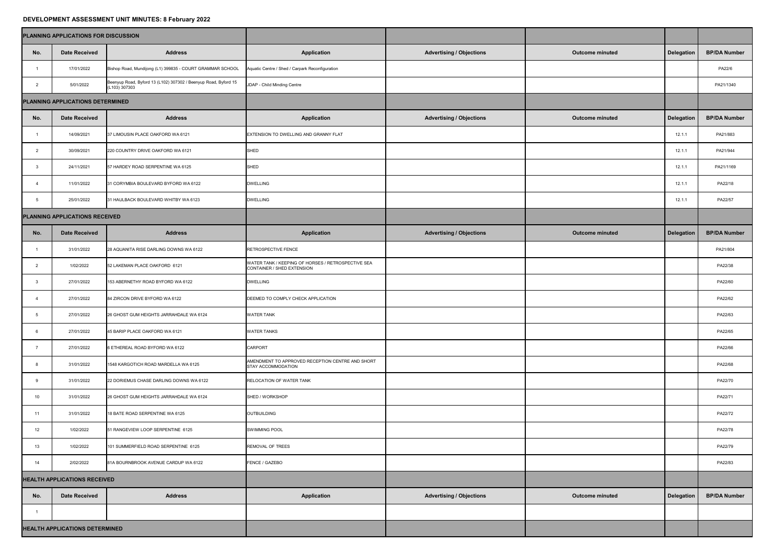## **DEVELOPMENT ASSESSMENT UNIT MINUTES: 8 February 2022**

|                                     | PLANNING APPLICATIONS FOR DISCUSSION  |                                                                                  |                                                                                  |                                 |                        |                   |                     |
|-------------------------------------|---------------------------------------|----------------------------------------------------------------------------------|----------------------------------------------------------------------------------|---------------------------------|------------------------|-------------------|---------------------|
| No.                                 | <b>Date Received</b>                  | <b>Address</b>                                                                   | <b>Application</b>                                                               | <b>Advertising / Objections</b> | <b>Outcome minuted</b> | <b>Delegation</b> | <b>BP/DA Number</b> |
|                                     | 17/01/2022                            | Bishop Road, Mundijong (L1) 399835 - COURT GRAMMAR SCHOOL                        | Aquatic Centre / Shed / Carpark Reconfiguration                                  |                                 |                        |                   | PA22/6              |
|                                     | 5/01/2022                             | Beenyup Road, Byford 13 (L102) 307302 / Beenyup Road, Byford 15<br>(L103) 307303 | JDAP - Child Minding Centre                                                      |                                 |                        |                   | PA21/1340           |
| PLANNING APPLICATIONS DETERMINED    |                                       |                                                                                  |                                                                                  |                                 |                        |                   |                     |
| No.                                 | <b>Date Received</b>                  | <b>Address</b>                                                                   | <b>Application</b>                                                               | <b>Advertising / Objections</b> | <b>Outcome minuted</b> | <b>Delegation</b> | <b>BP/DA Number</b> |
|                                     | 14/09/2021                            | 37 LIMOUSIN PLACE OAKFORD WA 6121                                                | EXTENSION TO DWELLING AND GRANNY FLAT                                            |                                 |                        | 12.1.1            | PA21/883            |
|                                     | 30/09/2021                            | 220 COUNTRY DRIVE OAKFORD WA 6121                                                | SHED                                                                             |                                 |                        | 12.1.1            | PA21/944            |
|                                     | 24/11/2021                            | 57 HARDEY ROAD SERPENTINE WA 6125                                                | SHED                                                                             |                                 |                        | 12.1.1            | PA21/1169           |
|                                     | 11/01/2022                            | 31 CORYMBIA BOULEVARD BYFORD WA 6122                                             | <b>DWELLING</b>                                                                  |                                 |                        | 12.1.1            | PA22/18             |
|                                     | 25/01/2022                            | 31 HAULBACK BOULEVARD WHITBY WA 6123                                             | <b>DWELLING</b>                                                                  |                                 |                        | 12.1.1            | PA22/57             |
|                                     | PLANNING APPLICATIONS RECEIVED        |                                                                                  |                                                                                  |                                 |                        |                   |                     |
| No.                                 | <b>Date Received</b>                  | <b>Address</b>                                                                   | <b>Application</b>                                                               | <b>Advertising / Objections</b> | <b>Outcome minuted</b> | Delegation        | <b>BP/DA Number</b> |
|                                     | 31/01/2022                            | 28 AQUANITA RISE DARLING DOWNS WA 6122                                           | RETROSPECTIVE FENCE                                                              |                                 |                        |                   | PA21/804            |
|                                     | 1/02/2022                             | 52 LAKEMAN PLACE OAKFORD 6121                                                    | WATER TANK / KEEPING OF HORSES / RETROSPECTIVE SEA<br>CONTAINER / SHED EXTENSION |                                 |                        |                   | PA22/38             |
|                                     | 27/01/2022                            | 153 ABERNETHY ROAD BYFORD WA 6122                                                | <b>DWELLING</b>                                                                  |                                 |                        |                   | PA22/60             |
|                                     | 27/01/2022                            | 84 ZIRCON DRIVE BYFORD WA 6122                                                   | DEEMED TO COMPLY CHECK APPLICATION                                               |                                 |                        |                   | PA22/62             |
|                                     | 27/01/2022                            | 26 GHOST GUM HEIGHTS JARRAHDALE WA 6124                                          | <b>WATER TANK</b>                                                                |                                 |                        |                   | PA22/63             |
|                                     | 27/01/2022                            | 45 BARIP PLACE OAKFORD WA 6121                                                   | <b>WATER TANKS</b>                                                               |                                 |                        |                   | PA22/65             |
|                                     | 27/01/2022                            | 6 ETHEREAL ROAD BYFORD WA 6122                                                   | <b>CARPORT</b>                                                                   |                                 |                        |                   | PA22/66             |
|                                     | 31/01/2022                            | 1548 KARGOTICH ROAD MARDELLA WA 6125                                             | AMENDMENT TO APPROVED RECEPTION CENTRE AND SHORT<br>STAY ACCOMMODATION           |                                 |                        |                   | PA22/68             |
|                                     | 31/01/2022                            | 22 DORIEMUS CHASE DARLING DOWNS WA 6122                                          | <b>RELOCATION OF WATER TANK</b>                                                  |                                 |                        |                   | PA22/70             |
| 10                                  | 31/01/2022                            | 26 GHOST GUM HEIGHTS JARRAHDALE WA 6124                                          | SHED / WORKSHOP                                                                  |                                 |                        |                   | PA22/71             |
| 11                                  | 31/01/2022                            | 18 BATE ROAD SERPENTINE WA 6125                                                  | <b>OUTBUILDING</b>                                                               |                                 |                        |                   | PA22/72             |
| 12                                  | 1/02/2022                             | 51 RANGEVIEW LOOP SERPENTINE 6125                                                | <b>SWIMMING POOL</b>                                                             |                                 |                        |                   | PA22/78             |
| 13                                  | 1/02/2022                             | 101 SUMMERFIELD ROAD SERPENTINE 6125                                             | <b>REMOVAL OF TREES</b>                                                          |                                 |                        |                   | PA22/79             |
| 14                                  | 2/02/2022                             | 81A BOURNBROOK AVENUE CARDUP WA 6122                                             | FENCE / GAZEBO                                                                   |                                 |                        |                   | PA22/83             |
| <b>HEALTH APPLICATIONS RECEIVED</b> |                                       |                                                                                  |                                                                                  |                                 |                        |                   |                     |
| No.                                 | <b>Date Received</b>                  | <b>Address</b>                                                                   | <b>Application</b>                                                               | <b>Advertising / Objections</b> | <b>Outcome minuted</b> | <b>Delegation</b> | <b>BP/DA Number</b> |
|                                     |                                       |                                                                                  |                                                                                  |                                 |                        |                   |                     |
|                                     | <b>HEALTH APPLICATIONS DETERMINED</b> |                                                                                  |                                                                                  |                                 |                        |                   |                     |
|                                     |                                       |                                                                                  |                                                                                  |                                 |                        |                   |                     |